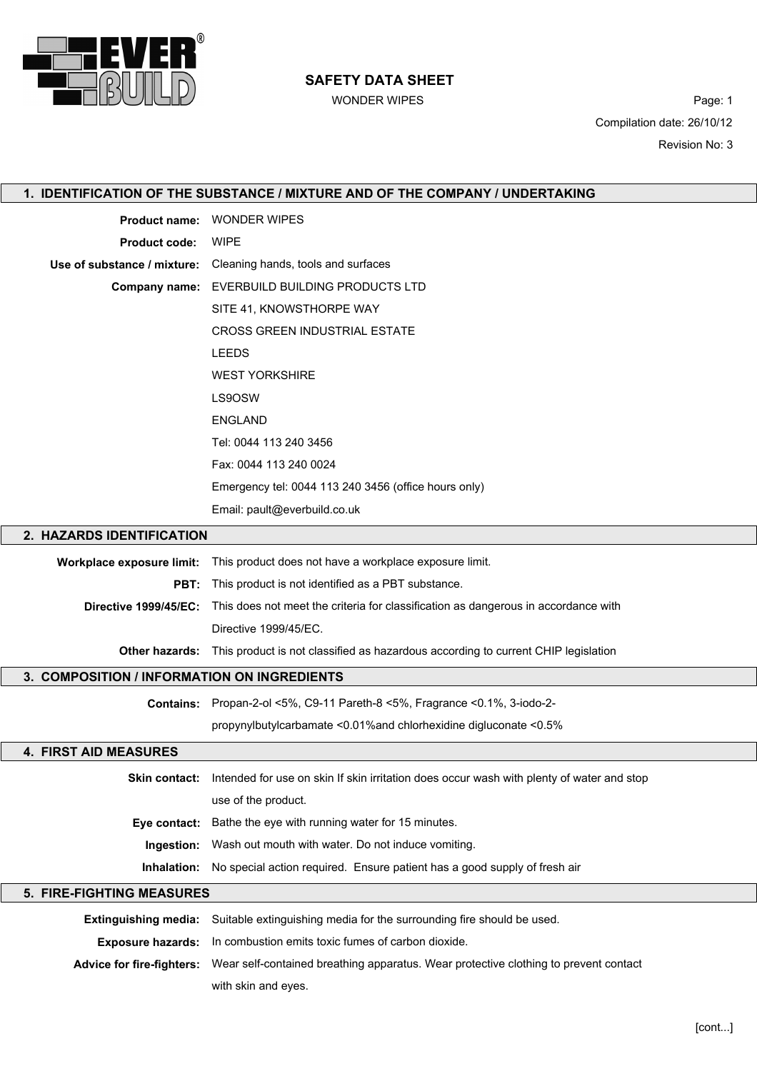

# SAFETY DATA SHEET

WONDER WIPES **Page: 1** Compilation date: 26/10/12 Revision No: 3

| 1. IDENTIFICATION OF THE SUBSTANCE / MIXTURE AND OF THE COMPANY / UNDERTAKING |                                                                                                          |  |
|-------------------------------------------------------------------------------|----------------------------------------------------------------------------------------------------------|--|
| <b>Product name:</b>                                                          | <b>WONDER WIPES</b>                                                                                      |  |
| <b>Product code:</b>                                                          | <b>WIPE</b>                                                                                              |  |
| Use of substance / mixture:                                                   | Cleaning hands, tools and surfaces                                                                       |  |
| <b>Company name:</b>                                                          | EVERBUILD BUILDING PRODUCTS LTD                                                                          |  |
|                                                                               | SITE 41, KNOWSTHORPE WAY                                                                                 |  |
|                                                                               | <b>CROSS GREEN INDUSTRIAL ESTATE</b>                                                                     |  |
|                                                                               | <b>LEEDS</b>                                                                                             |  |
|                                                                               | <b>WEST YORKSHIRE</b>                                                                                    |  |
|                                                                               | LS9OSW                                                                                                   |  |
|                                                                               | <b>ENGLAND</b>                                                                                           |  |
|                                                                               | Tel: 0044 113 240 3456                                                                                   |  |
|                                                                               | Fax: 0044 113 240 0024                                                                                   |  |
|                                                                               | Emergency tel: 0044 113 240 3456 (office hours only)                                                     |  |
|                                                                               | Email: pault@everbuild.co.uk                                                                             |  |
| 2. HAZARDS IDENTIFICATION                                                     |                                                                                                          |  |
| Workplace exposure limit:                                                     | This product does not have a workplace exposure limit.                                                   |  |
| PBT:                                                                          | This product is not identified as a PBT substance.                                                       |  |
|                                                                               | Directive 1999/45/EC: This does not meet the criteria for classification as dangerous in accordance with |  |
|                                                                               | Directive 1999/45/EC.                                                                                    |  |
|                                                                               | Other hazards: This product is not classified as hazardous according to current CHIP legislation         |  |
| 3. COMPOSITION / INFORMATION ON INGREDIENTS                                   |                                                                                                          |  |
| <b>Contains:</b>                                                              | Propan-2-ol <5%, C9-11 Pareth-8 <5%, Fragrance <0.1%, 3-iodo-2-                                          |  |
|                                                                               | propynylbutylcarbamate <0.01% and chlorhexidine digluconate <0.5%                                        |  |
| <b>4. FIRST AID MEASURES</b>                                                  |                                                                                                          |  |
| Skin contact:                                                                 | Intended for use on skin If skin irritation does occur wash with plenty of water and stop                |  |
|                                                                               | use of the product.                                                                                      |  |
| Eye contact:                                                                  | Bathe the eye with running water for 15 minutes.                                                         |  |
| Ingestion:                                                                    | Wash out mouth with water. Do not induce vomiting.                                                       |  |
| Inhalation:                                                                   | No special action required. Ensure patient has a good supply of fresh air                                |  |
| 5. FIRE-FIGHTING MEASURES                                                     |                                                                                                          |  |
| <b>Extinguishing media:</b>                                                   | Suitable extinguishing media for the surrounding fire should be used.                                    |  |
| <b>Exposure hazards:</b>                                                      | In combustion emits toxic fumes of carbon dioxide.                                                       |  |
| <b>Advice for fire-fighters:</b>                                              | Wear self-contained breathing apparatus. Wear protective clothing to prevent contact                     |  |
|                                                                               | with skin and eyes.                                                                                      |  |
|                                                                               |                                                                                                          |  |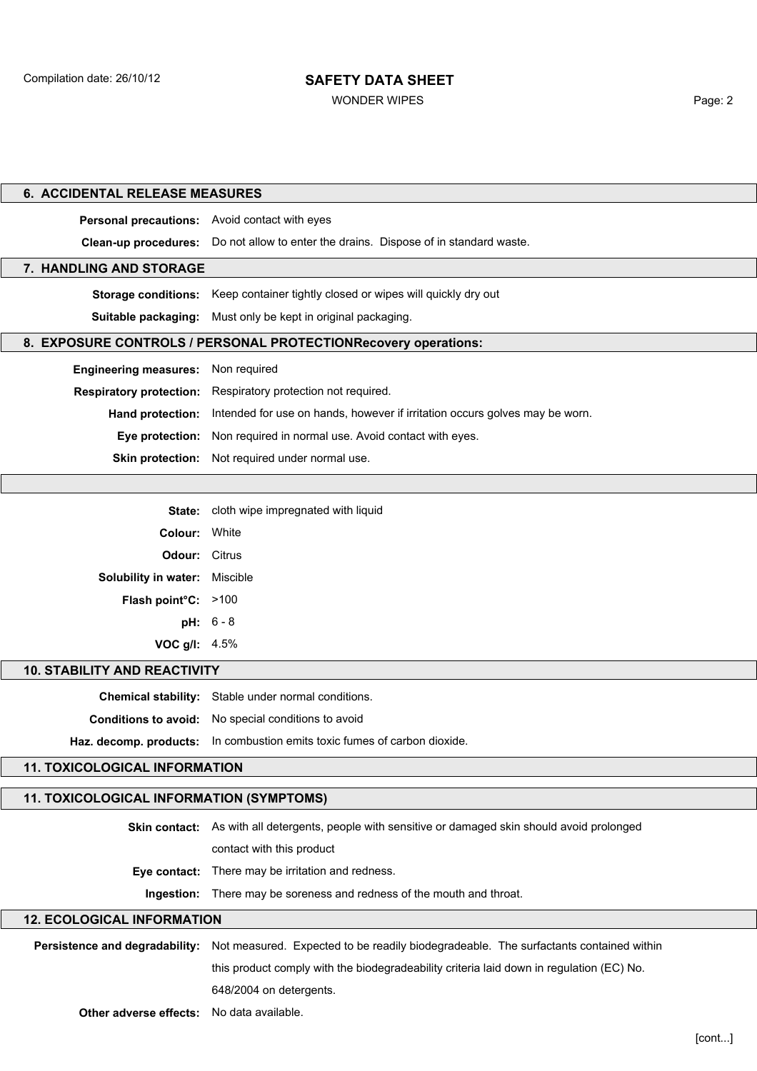## SAFETY DATA SHEET

WONDER WIPES **Page: 2** 

| <b>6. ACCIDENTAL RELEASE MEASURES</b>         |                                                                                                    |  |
|-----------------------------------------------|----------------------------------------------------------------------------------------------------|--|
| Personal precautions: Avoid contact with eyes |                                                                                                    |  |
|                                               | Clean-up procedures: Do not allow to enter the drains. Dispose of in standard waste.               |  |
| 7. HANDLING AND STORAGE                       |                                                                                                    |  |
|                                               | Storage conditions: Keep container tightly closed or wipes will quickly dry out                    |  |
| Suitable packaging:                           | Must only be kept in original packaging.                                                           |  |
|                                               | 8. EXPOSURE CONTROLS / PERSONAL PROTECTIONRecovery operations:                                     |  |
| <b>Engineering measures:</b>                  | Non required                                                                                       |  |
| <b>Respiratory protection:</b>                | Respiratory protection not required.                                                               |  |
| Hand protection:                              | Intended for use on hands, however if irritation occurs golves may be worn.                        |  |
| Eye protection:                               | Non required in normal use. Avoid contact with eyes.                                               |  |
| <b>Skin protection:</b>                       | Not required under normal use.                                                                     |  |
|                                               |                                                                                                    |  |
|                                               |                                                                                                    |  |
| State:                                        | cloth wipe impregnated with liquid                                                                 |  |
| Colour:                                       | White                                                                                              |  |
| Odour:                                        | Citrus                                                                                             |  |
| Solubility in water: Miscible                 |                                                                                                    |  |
| Flash point°C: >100                           |                                                                                                    |  |
|                                               | $pH: 6 - 8$                                                                                        |  |
| VOC g/l: 4.5%                                 |                                                                                                    |  |
| <b>10. STABILITY AND REACTIVITY</b>           |                                                                                                    |  |
| <b>Chemical stability:</b>                    | Stable under normal conditions.                                                                    |  |
| <b>Conditions to avoid:</b>                   | No special conditions to avoid                                                                     |  |
| Haz. decomp. products:                        | In combustion emits toxic fumes of carbon dioxide.                                                 |  |
| <b>11. TOXICOLOGICAL INFORMATION</b>          |                                                                                                    |  |
| 11. TOXICOLOGICAL INFORMATION (SYMPTOMS)      |                                                                                                    |  |
|                                               |                                                                                                    |  |
|                                               | Skin contact: As with all detergents, people with sensitive or damaged skin should avoid prolonged |  |
|                                               | contact with this product                                                                          |  |
| Eye contact:                                  | There may be irritation and redness.                                                               |  |
| Ingestion:                                    | There may be soreness and redness of the mouth and throat.                                         |  |
| <b>12. ECOLOGICAL INFORMATION</b>             |                                                                                                    |  |
| Persistence and degradability:                | Not measured. Expected to be readily biodegradeable. The surfactants contained within              |  |
|                                               | this product comply with the biodegradeability criteria laid down in regulation (EC) No.           |  |
|                                               | 648/2004 on detergents.                                                                            |  |
| Other adverse effects:                        | No data available.                                                                                 |  |